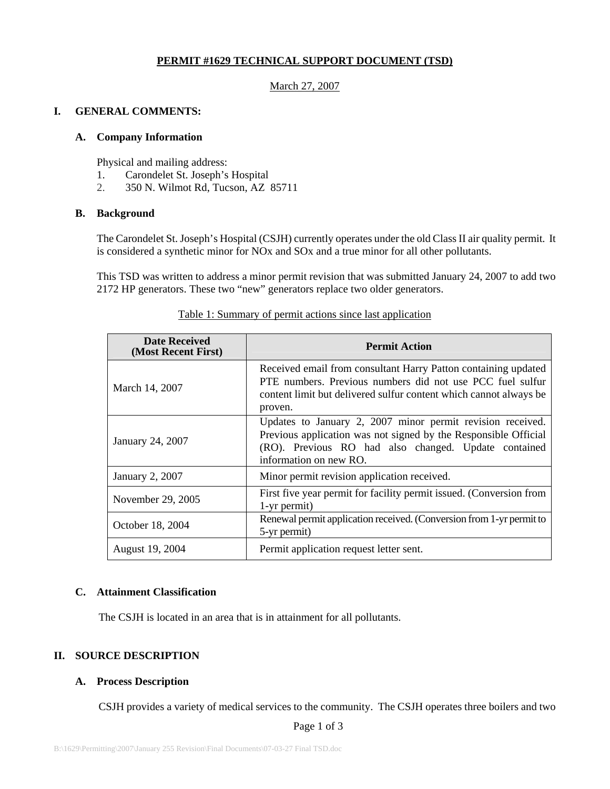# **PERMIT #1629 TECHNICAL SUPPORT DOCUMENT (TSD)**

#### March 27, 2007

#### **I. GENERAL COMMENTS:**

#### **A. Company Information**

Physical and mailing address:

- 1. Carondelet St. Joseph's Hospital
- 2. 350 N. Wilmot Rd, Tucson, AZ 85711

#### **B. Background**

The Carondelet St. Joseph's Hospital (CSJH) currently operates under the old Class II air quality permit. It is considered a synthetic minor for NOx and SOx and a true minor for all other pollutants.

This TSD was written to address a minor permit revision that was submitted January 24, 2007 to add two 2172 HP generators. These two "new" generators replace two older generators.

| <b>Date Received</b><br>(Most Recent First) | <b>Permit Action</b>                                                                                                                                                                                            |  |  |  |  |  |
|---------------------------------------------|-----------------------------------------------------------------------------------------------------------------------------------------------------------------------------------------------------------------|--|--|--|--|--|
| March 14, 2007                              | Received email from consultant Harry Patton containing updated<br>PTE numbers. Previous numbers did not use PCC fuel sulfur<br>content limit but delivered sulfur content which cannot always be<br>proven.     |  |  |  |  |  |
| January 24, 2007                            | Updates to January 2, 2007 minor permit revision received.<br>Previous application was not signed by the Responsible Official<br>(RO). Previous RO had also changed. Update contained<br>information on new RO. |  |  |  |  |  |
| <b>January 2, 2007</b>                      | Minor permit revision application received.                                                                                                                                                                     |  |  |  |  |  |
| November 29, 2005                           | First five year permit for facility permit issued. (Conversion from<br>1-yr permit)                                                                                                                             |  |  |  |  |  |
| October 18, 2004                            | Renewal permit application received. (Conversion from 1-yr permit to<br>5-yr permit)                                                                                                                            |  |  |  |  |  |
| August 19, 2004                             | Permit application request letter sent.                                                                                                                                                                         |  |  |  |  |  |

#### Table 1: Summary of permit actions since last application

## **C. Attainment Classification**

The CSJH is located in an area that is in attainment for all pollutants.

## **II. SOURCE DESCRIPTION**

## **A. Process Description**

CSJH provides a variety of medical services to the community. The CSJH operates three boilers and two

Page 1 of 3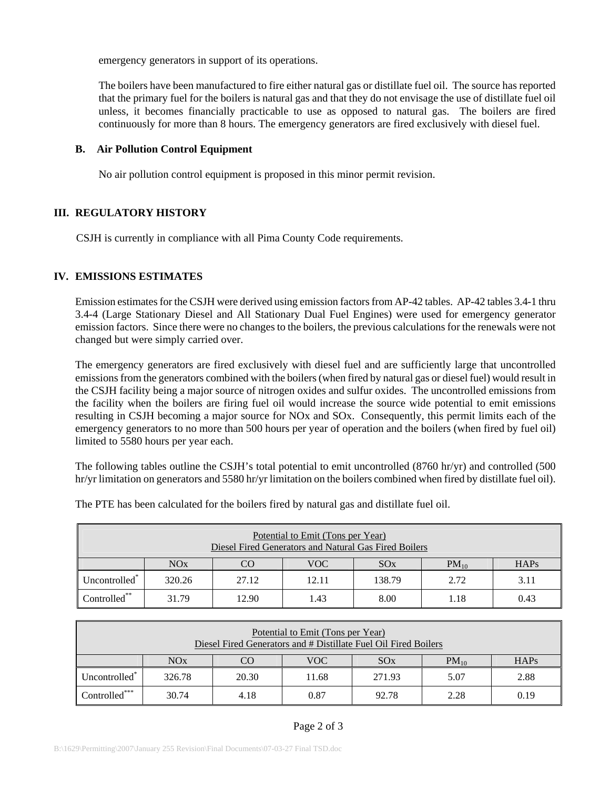emergency generators in support of its operations.

The boilers have been manufactured to fire either natural gas or distillate fuel oil. The source has reported that the primary fuel for the boilers is natural gas and that they do not envisage the use of distillate fuel oil unless, it becomes financially practicable to use as opposed to natural gas. The boilers are fired continuously for more than 8 hours. The emergency generators are fired exclusively with diesel fuel.

#### **B. Air Pollution Control Equipment**

No air pollution control equipment is proposed in this minor permit revision.

## **III. REGULATORY HISTORY**

CSJH is currently in compliance with all Pima County Code requirements.

## **IV. EMISSIONS ESTIMATES**

Emission estimates for the CSJH were derived using emission factors from AP-42 tables. AP-42 tables 3.4-1 thru 3.4-4 (Large Stationary Diesel and All Stationary Dual Fuel Engines) were used for emergency generator emission factors. Since there were no changes to the boilers, the previous calculations for the renewals were not changed but were simply carried over.

The emergency generators are fired exclusively with diesel fuel and are sufficiently large that uncontrolled emissions from the generators combined with the boilers (when fired by natural gas or diesel fuel) would result in the CSJH facility being a major source of nitrogen oxides and sulfur oxides. The uncontrolled emissions from the facility when the boilers are firing fuel oil would increase the source wide potential to emit emissions resulting in CSJH becoming a major source for NOx and SOx. Consequently, this permit limits each of the emergency generators to no more than 500 hours per year of operation and the boilers (when fired by fuel oil) limited to 5580 hours per year each.

The following tables outline the CSJH's total potential to emit uncontrolled (8760 hr/yr) and controlled (500 hr/yr limitation on generators and 5580 hr/yr limitation on the boilers combined when fired by distillate fuel oil).

| Potential to Emit (Tons per Year)<br>Diesel Fired Generators and Natural Gas Fired Boilers |        |       |       |        |           |      |  |  |  |
|--------------------------------------------------------------------------------------------|--------|-------|-------|--------|-----------|------|--|--|--|
|                                                                                            | NOx    | CO    | VOC   | SOX    | $PM_{10}$ | HAPs |  |  |  |
| Uncontrolled <sup>*</sup>                                                                  | 320.26 | 27.12 | 12.11 | 138.79 | 2.72      | 3.11 |  |  |  |
| Controlled**                                                                               | 31.79  | 12.90 | 1.43  | 8.00   | 1.18      | 0.43 |  |  |  |

The PTE has been calculated for the boilers fired by natural gas and distillate fuel oil.

| Potential to Emit (Tons per Year)<br>Diesel Fired Generators and # Distillate Fuel Oil Fired Boilers |        |       |       |        |           |      |  |  |
|------------------------------------------------------------------------------------------------------|--------|-------|-------|--------|-----------|------|--|--|
|                                                                                                      | NOx    | CC    | VOC   | SOX    | $PM_{10}$ | HAPs |  |  |
| Uncontrolled <sup>*</sup>                                                                            | 326.78 | 20.30 | 11.68 | 271.93 | 5.07      | 2.88 |  |  |
| Controlled***                                                                                        | 30.74  | 4.18  | 0.87  | 92.78  | 2.28      | 0.19 |  |  |